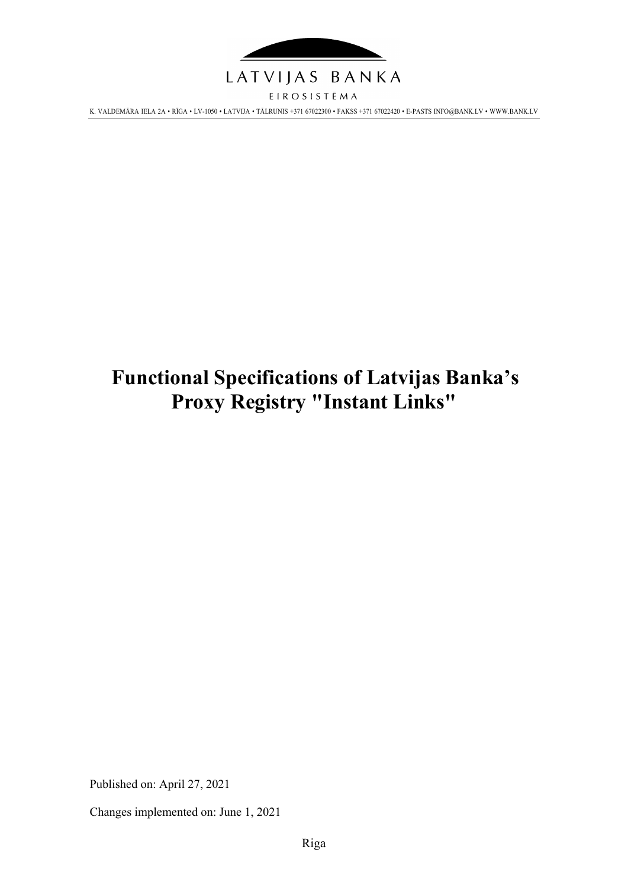

EIROSISTĒMA K. VALDEMĀRA IELA 2A • RĪGA • LV-1050 • LATVIJA • TĀLRUNIS +371 67022300 • FAKSS +371 67022420 • E-PAST[S INFO@BANK.LV](mailto:INFO@BANK.LV) • WWW.BANK.LV

# **Functional Specifications of Latvijas Banka's Proxy Registry "Instant Links"**

Published on: April 27, 2021

Changes implemented on: June 1, 2021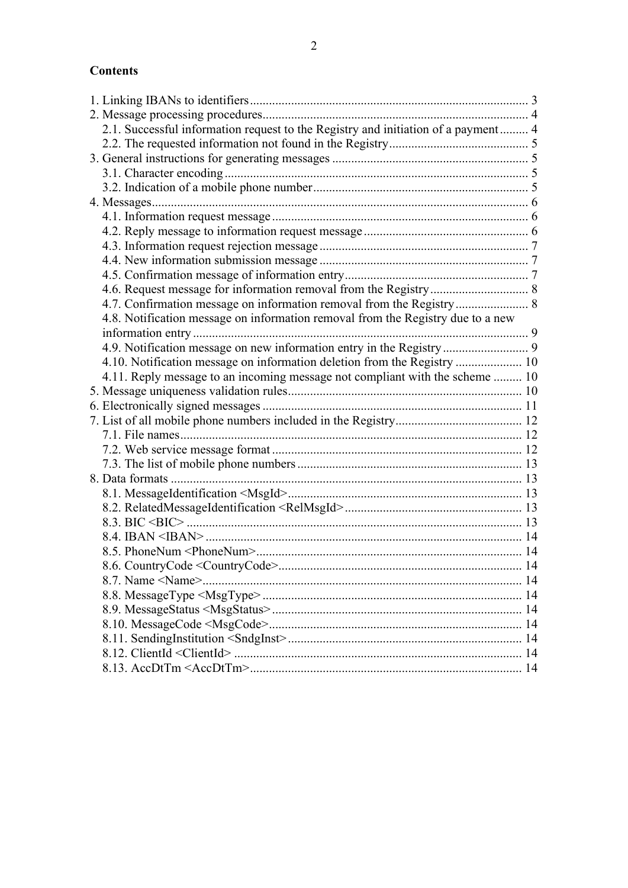# **Contents**

| 2.1. Successful information request to the Registry and initiation of a payment 4 |  |
|-----------------------------------------------------------------------------------|--|
|                                                                                   |  |
|                                                                                   |  |
|                                                                                   |  |
|                                                                                   |  |
|                                                                                   |  |
|                                                                                   |  |
|                                                                                   |  |
|                                                                                   |  |
|                                                                                   |  |
|                                                                                   |  |
|                                                                                   |  |
| 4.7. Confirmation message on information removal from the Registry 8              |  |
| 4.8. Notification message on information removal from the Registry due to a new   |  |
|                                                                                   |  |
| 4.9. Notification message on new information entry in the Registry 9              |  |
| 4.10. Notification message on information deletion from the Registry  10          |  |
| 4.11. Reply message to an incoming message not compliant with the scheme  10      |  |
|                                                                                   |  |
|                                                                                   |  |
|                                                                                   |  |
|                                                                                   |  |
|                                                                                   |  |
|                                                                                   |  |
|                                                                                   |  |
|                                                                                   |  |
|                                                                                   |  |
|                                                                                   |  |
|                                                                                   |  |
|                                                                                   |  |
|                                                                                   |  |
|                                                                                   |  |
|                                                                                   |  |
|                                                                                   |  |
|                                                                                   |  |
|                                                                                   |  |
|                                                                                   |  |
|                                                                                   |  |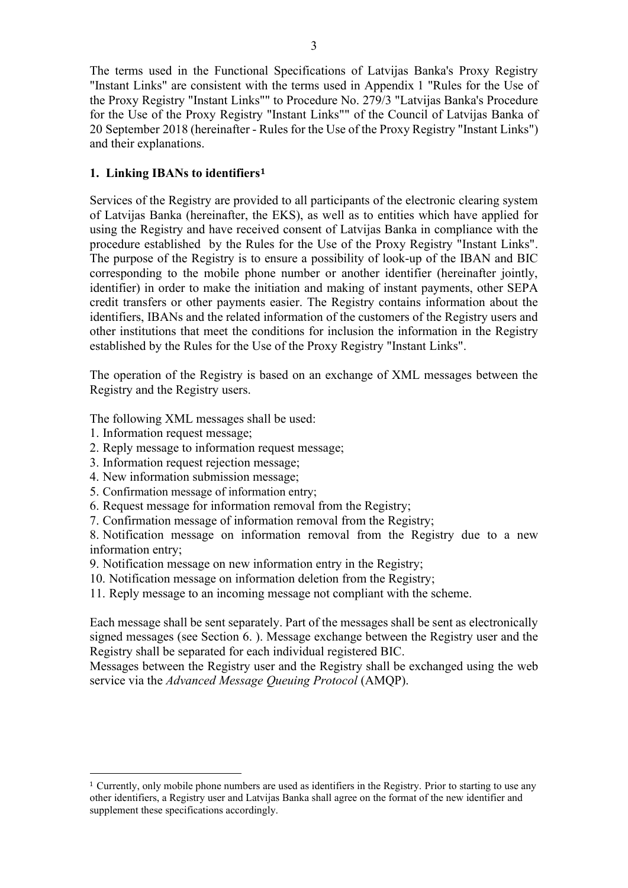The terms used in the Functional Specifications of Latvijas Banka's Proxy Registry "Instant Links" are consistent with the terms used in Appendix 1 "Rules for the Use of the Proxy Registry "Instant Links"" to Procedure No. 279/3 "Latvijas Banka's Procedure for the Use of the Proxy Registry "Instant Links"" of the Council of Latvijas Banka of 20 September 2018 (hereinafter - Rules for the Use of the Proxy Registry "Instant Links") and their explanations.

#### <span id="page-2-0"></span>**1. Linking IBANs to identifiers<sup>1</sup>**

Services of the Registry are provided to all participants of the electronic clearing system of Latvijas Banka (hereinafter, the EKS), as well as to entities which have applied for using the Registry and have received consent of Latvijas Banka in compliance with the procedure established by the Rules for the Use of the Proxy Registry "Instant Links". The purpose of the Registry is to ensure a possibility of look-up of the IBAN and BIC corresponding to the mobile phone number or another identifier (hereinafter jointly, identifier) in order to make the initiation and making of instant payments, other SEPA credit transfers or other payments easier. The Registry contains information about the identifiers, IBANs and the related information of the customers of the Registry users and other institutions that meet the conditions for inclusion the information in the Registry established by the Rules for the Use of the Proxy Registry "Instant Links".

The operation of the Registry is based on an exchange of XML messages between the Registry and the Registry users.

The following XML messages shall be used:

- 1. Information request message;
- 2. Reply message to information request message;
- 3. Information request rejection message;
- 4. New information submission message;
- 5. Confirmation message of information entry;
- 6. Request message for information removal from the Registry;
- 7. Confirmation message of information removal from the Registry;

8. Notification message on information removal from the Registry due to a new information entry;

- 9. Notification message on new information entry in the Registry;
- 10. Notification message on information deletion from the Registry;
- 11. Reply message to an incoming message not compliant with the scheme.

Each message shall be sent separately. Part of the messages shall be sent as electronically signed messages (see Section [6. \)](#page-10-0). Message exchange between the Registry user and the Registry shall be separated for each individual registered BIC.

Messages between the Registry user and the Registry shall be exchanged using the web service via the *Advanced Message Queuing Protocol* (AMQP).

<sup>1</sup> Currently, only mobile phone numbers are used as identifiers in the Registry. Prior to starting to use any other identifiers, a Registry user and Latvijas Banka shall agree on the format of the new identifier and supplement these specifications accordingly.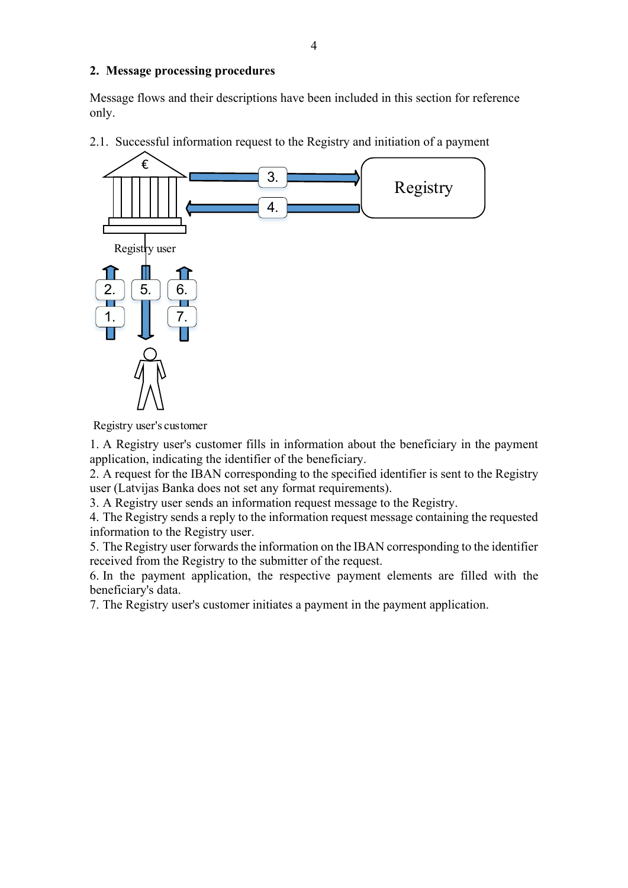#### <span id="page-3-0"></span>**2. Message processing procedures**

Message flows and their descriptions have been included in this section for reference only.

<span id="page-3-1"></span>2.1. Successful information request to the Registry and initiation of a payment



Registry user's customer

1. A Registry user's customer fills in information about the beneficiary in the payment application, indicating the identifier of the beneficiary.

2. A request for the IBAN corresponding to the specified identifier is sent to the Registry user (Latvijas Banka does not set any format requirements).

3. A Registry user sends an information request message to the Registry.

4. The Registry sends a reply to the information request message containing the requested information to the Registry user.

5. The Registry user forwards the information on the IBAN corresponding to the identifier received from the Registry to the submitter of the request.

6. In the payment application, the respective payment elements are filled with the beneficiary's data.

7. The Registry user's customer initiates a payment in the payment application.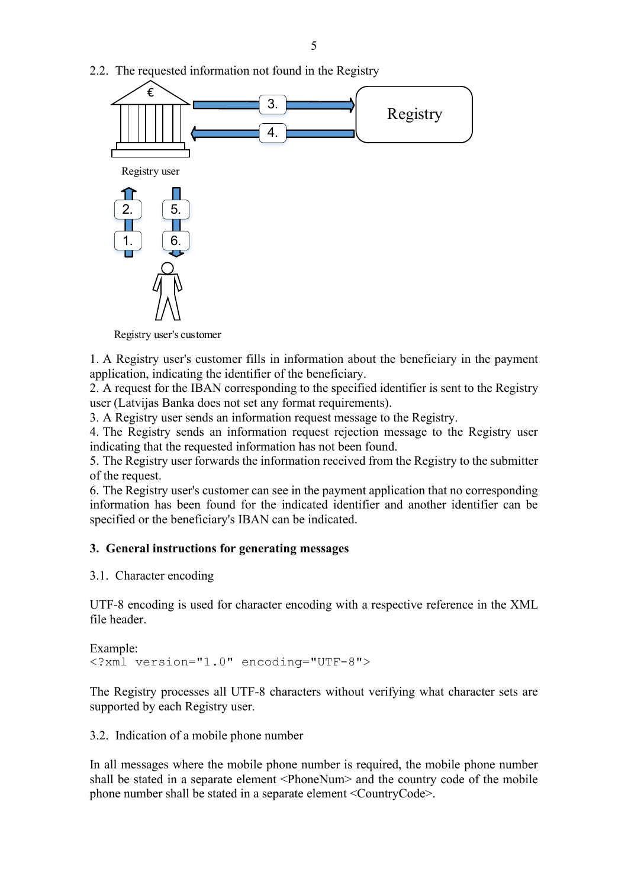<span id="page-4-0"></span>2.2. The requested information not found in the Registry



Registry user's customer

1. A Registry user's customer fills in information about the beneficiary in the payment application, indicating the identifier of the beneficiary.

2. A request for the IBAN corresponding to the specified identifier is sent to the Registry user (Latvijas Banka does not set any format requirements).

3. A Registry user sends an information request message to the Registry.

4. The Registry sends an information request rejection message to the Registry user indicating that the requested information has not been found.

5. The Registry user forwards the information received from the Registry to the submitter of the request.

6. The Registry user's customer can see in the payment application that no corresponding information has been found for the indicated identifier and another identifier can be specified or the beneficiary's IBAN can be indicated.

## <span id="page-4-1"></span>**3. General instructions for generating messages**

#### <span id="page-4-2"></span>3.1. Character encoding

UTF-8 encoding is used for character encoding with a respective reference in the XML file header.

```
Example:
<?xml version="1.0" encoding="UTF-8">
```
The Registry processes all UTF-8 characters without verifying what character sets are supported by each Registry user.

<span id="page-4-3"></span>3.2. Indication of a mobile phone number

In all messages where the mobile phone number is required, the mobile phone number shall be stated in a separate element <PhoneNum> and the country code of the mobile phone number shall be stated in a separate element <CountryCode>.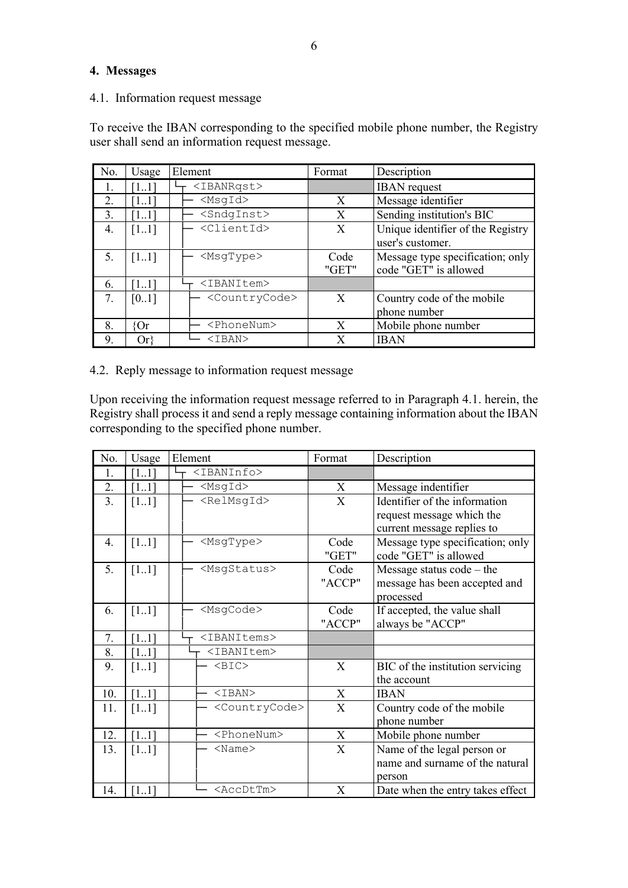#### <span id="page-5-0"></span>**4. Messages**

<span id="page-5-1"></span>4.1. Information request message

To receive the IBAN corresponding to the specified mobile phone number, the Registry user shall send an information request message.

| No. | Usage             | Element                     | Format | Description                       |
|-----|-------------------|-----------------------------|--------|-----------------------------------|
|     | $\left[11\right]$ | <ibanrqst></ibanrqst>       |        | <b>IBAN</b> request               |
| 2.  | [11]              | $<$ MsqId $>$               | X      | Message identifier                |
| 3.  | [11]              | <sndginst></sndginst>       | X      | Sending institution's BIC         |
| 4.  | [11]              | <clientid></clientid>       | X      | Unique identifier of the Registry |
|     |                   |                             |        | user's customer.                  |
| 5.  | $\left[11\right]$ | $<$ MsqType $>$             | Code   | Message type specification; only  |
|     |                   |                             | "GET"  | code "GET" is allowed             |
| 6.  | [11]              | <ibanitem></ibanitem>       |        |                                   |
| 7.  | [0.1]             | <countrycode></countrycode> | X      | Country code of the mobile        |
|     |                   |                             |        | phone number                      |
| 8.  | łΟr               | <phonenum></phonenum>       | X      | Mobile phone number               |
| 9.  | Or!               | <iban></iban>               | X      | <b>IBAN</b>                       |

#### <span id="page-5-2"></span>4.2. Reply message to information request message

Upon receiving the information request message referred to in Paragraph [4.1. h](#page-5-1)erein, the Registry shall process it and send a reply message containing information about the IBAN corresponding to the specified phone number.

| No. | Usage              | Element                     | Format | Description                      |
|-----|--------------------|-----------------------------|--------|----------------------------------|
| 1.  | [11]               | <ibaninfo></ibaninfo>       |        |                                  |
| 2.  | [11]               | $<$ MsgId $>$               | X      | Message indentifier              |
| 3.  | [11]               | <relmsgid></relmsgid>       | X      | Identifier of the information    |
|     |                    |                             |        | request message which the        |
|     |                    |                             |        | current message replies to       |
| 4.  | $[11]$             | <msgtype></msgtype>         | Code   | Message type specification; only |
|     |                    |                             | "GET"  | code "GET" is allowed            |
| 5.  | $[11]$             | <msgstatus></msgstatus>     | Code   | Message status code - the        |
|     |                    |                             | "ACCP" | message has been accepted and    |
|     |                    |                             |        | processed                        |
| 6.  | $[11]$             | <msgcode></msgcode>         | Code   | If accepted, the value shall     |
|     |                    |                             | "ACCP" | always be "ACCP"                 |
| 7.  | [11]               | <ibanitems></ibanitems>     |        |                                  |
| 8.  | [11]               | <ibanitem></ibanitem>       |        |                                  |
| 9.  | $[11]$             | $<$ BIC>                    | X      | BIC of the institution servicing |
|     |                    |                             |        | the account                      |
| 10. | $[11]$             | $IBAN>$                     | X      | <b>IBAN</b>                      |
| 11. | $[11]$             | <countrycode></countrycode> | X      | Country code of the mobile       |
|     |                    |                             |        | phone number                     |
| 12. | $[11]$             | <phonenum></phonenum>       | X      | Mobile phone number              |
| 13. | $\lceil 11 \rceil$ | $<$ Name $>$                | X      | Name of the legal person or      |
|     |                    |                             |        | name and surname of the natural  |
|     |                    |                             |        | person                           |
| 14. | [11]               | <accdttm></accdttm>         | X      | Date when the entry takes effect |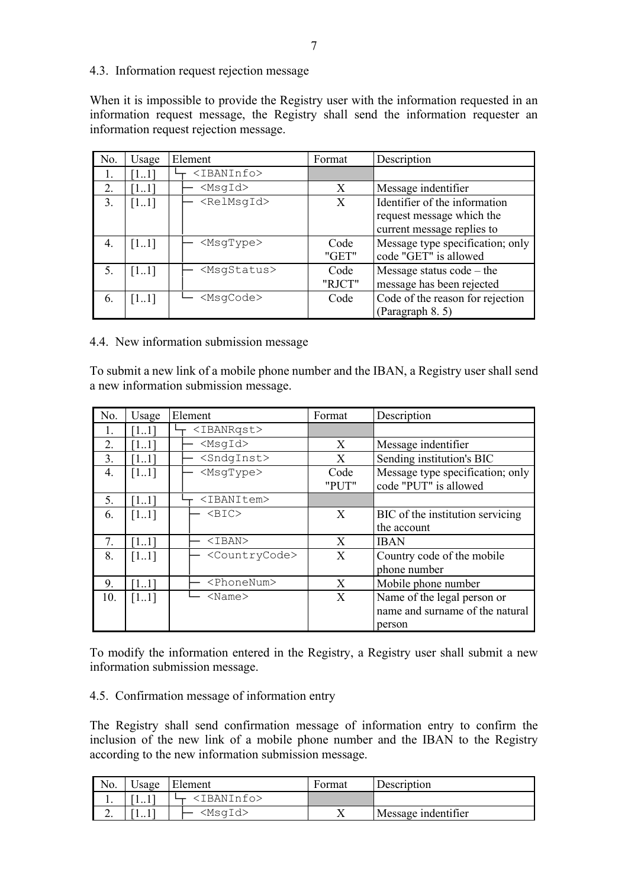<span id="page-6-0"></span>4.3. Information request rejection message

When it is impossible to provide the Registry user with the information requested in an information request message, the Registry shall send the information requester an information request rejection message.

| No. | Usage | Element                 | Format | Description                      |
|-----|-------|-------------------------|--------|----------------------------------|
|     |       | <ibaninfo></ibaninfo>   |        |                                  |
| 2.  | [11]  | $<$ MsqId $>$           | X      | Message indentifier              |
| 3.  | [11]  | $<$ RelMsqId $>$        | X      | Identifier of the information    |
|     |       |                         |        | request message which the        |
|     |       |                         |        | current message replies to       |
| 4.  | [11]  | <msqtype></msqtype>     | Code   | Message type specification; only |
|     |       |                         | "GET"  | code "GET" is allowed            |
| 5.  | [11]  | <msqstatus></msqstatus> | Code   | Message status $code - the$      |
|     |       |                         | "RJCT" | message has been rejected        |
| -6. | [11]  | <msqcode></msqcode>     | Code   | Code of the reason for rejection |
|     |       |                         |        | (Paragraph 8.5)                  |

<span id="page-6-1"></span>4.4. New information submission message

To submit a new link of a mobile phone number and the IBAN, a Registry user shall send a new information submission message.

| No. | Usage | Element                     | Format | Description                      |
|-----|-------|-----------------------------|--------|----------------------------------|
| 1.  | [11]  | <ibanrqst></ibanrqst>       |        |                                  |
| 2.  | [11]  | $<$ MsgId $>$               | X      | Message indentifier              |
| 3.  | [11]  | <sndginst></sndginst>       | X      | Sending institution's BIC        |
| 4.  | [11]  | <msqtype></msqtype>         | Code   | Message type specification; only |
|     |       |                             | "PUT"  | code "PUT" is allowed            |
| 5.  | 1.11  | <ibanitem></ibanitem>       |        |                                  |
| 6.  | [11]  | $<$ BIC $>$                 | X      | BIC of the institution servicing |
|     |       |                             |        | the account                      |
| 7.  | [11]  | <iban></iban>               | X      | <b>IBAN</b>                      |
| 8.  | [11]  | <countrycode></countrycode> | X      | Country code of the mobile       |
|     |       |                             |        | phone number                     |
| 9.  | [11]  | <phonenum></phonenum>       | X      | Mobile phone number              |
| 10. | [11]  | $<$ Name $>$                | X      | Name of the legal person or      |
|     |       |                             |        | name and surname of the natural  |
|     |       |                             |        | person                           |

To modify the information entered in the Registry, a Registry user shall submit a new information submission message.

#### <span id="page-6-2"></span>4.5. Confirmation message of information entry

The Registry shall send confirmation message of information entry to confirm the inclusion of the new link of a mobile phone number and the IBAN to the Registry according to the new information submission message.

| No.        | $\cup$ sage | Element               | Format | Description         |
|------------|-------------|-----------------------|--------|---------------------|
| 1.         | 11          | <ibaninfo></ibaninfo> |        |                     |
| <u>L</u> . | $1 \cdot 1$ | <msqid></msqid>       |        | Message indentifier |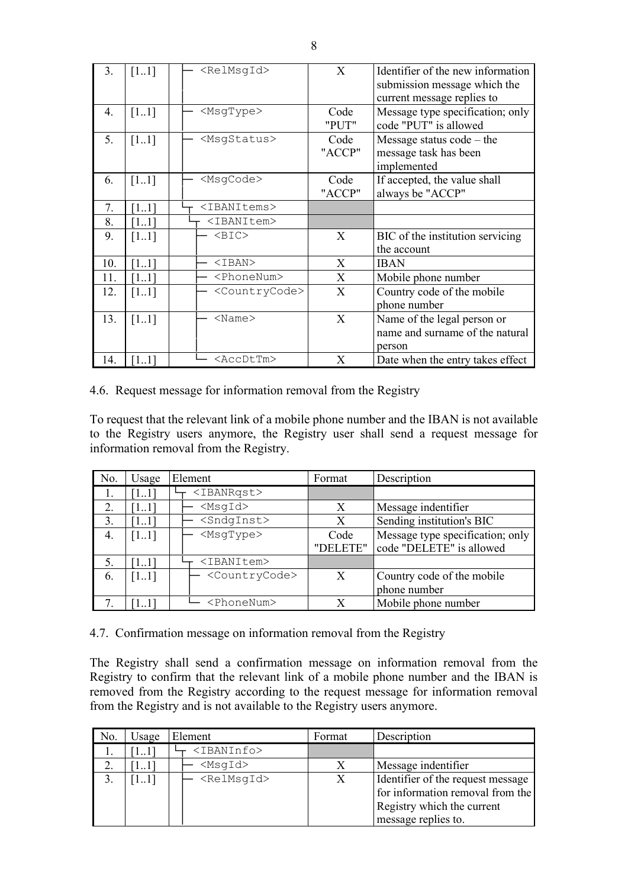| 3.  | $[11]$             | <relmsgid></relmsgid>       | X              | Identifier of the new information<br>submission message which the<br>current message replies to |
|-----|--------------------|-----------------------------|----------------|-------------------------------------------------------------------------------------------------|
| 4.  | $\left[11\right]$  | <msqtype></msqtype>         | Code<br>"PUT"  | Message type specification; only<br>code "PUT" is allowed                                       |
| 5.  | $[11]$             | <msgstatus></msgstatus>     | Code<br>"ACCP" | Message status $code - the$<br>message task has been<br>implemented                             |
| 6.  | [11]               | <msgcode></msgcode>         | Code<br>"ACCP" | If accepted, the value shall<br>always be "ACCP"                                                |
| 7.  | [11]               | <ibanitems></ibanitems>     |                |                                                                                                 |
| 8.  | [11]               | <ibanitem></ibanitem>       |                |                                                                                                 |
| 9.  | $\lceil 11 \rceil$ | $<$ BIC $>$                 | X              | BIC of the institution servicing<br>the account                                                 |
| 10. | [11]               | $IBAN>$                     | X              | <b>IBAN</b>                                                                                     |
| 11. | [11]               | <phonenum></phonenum>       | X              | Mobile phone number                                                                             |
| 12. | $[11]$             | <countrycode></countrycode> | X              | Country code of the mobile<br>phone number                                                      |
| 13. | [11]               | $<$ Name $>$                | X              | Name of the legal person or<br>name and surname of the natural<br>person                        |
| 14. | [11]               | <accdttm></accdttm>         | X              | Date when the entry takes effect                                                                |

<span id="page-7-0"></span>4.6. Request message for information removal from the Registry

To request that the relevant link of a mobile phone number and the IBAN is not available to the Registry users anymore, the Registry user shall send a request message for information removal from the Registry.

| No. | Usage             | Element                     | Format   | Description                      |
|-----|-------------------|-----------------------------|----------|----------------------------------|
| I.  | $\left[11\right]$ | <ibanrqst></ibanrqst>       |          |                                  |
|     | 111               | $<$ MsqId $>$               | X        | Message indentifier              |
| 3.  | [11]              | <sndginst></sndginst>       | X        | Sending institution's BIC        |
| 4.  | [11]              | $<$ MsqType $>$             | Code     | Message type specification; only |
|     |                   |                             | "DELETE" | code "DELETE" is allowed         |
| 5.  | [11]              | <ibanitem></ibanitem>       |          |                                  |
| -6. | [11]              | <countrycode></countrycode> | X        | Country code of the mobile       |
|     |                   |                             |          | phone number                     |
|     |                   | <phonenum></phonenum>       | X        | Mobile phone number              |

<span id="page-7-1"></span>4.7. Confirmation message on information removal from the Registry

The Registry shall send a confirmation message on information removal from the Registry to confirm that the relevant link of a mobile phone number and the IBAN is removed from the Registry according to the request message for information removal from the Registry and is not available to the Registry users anymore.

| No. | Usage | Element               | Format | Description                                                                                                                |
|-----|-------|-----------------------|--------|----------------------------------------------------------------------------------------------------------------------------|
|     | 11    | <ibaninfo></ibaninfo> |        |                                                                                                                            |
|     |       | <msqid></msqid>       |        | Message indentifier                                                                                                        |
|     | [11]  | <relmsqid></relmsqid> | Х      | Identifier of the request message<br>for information removal from the<br>Registry which the current<br>message replies to. |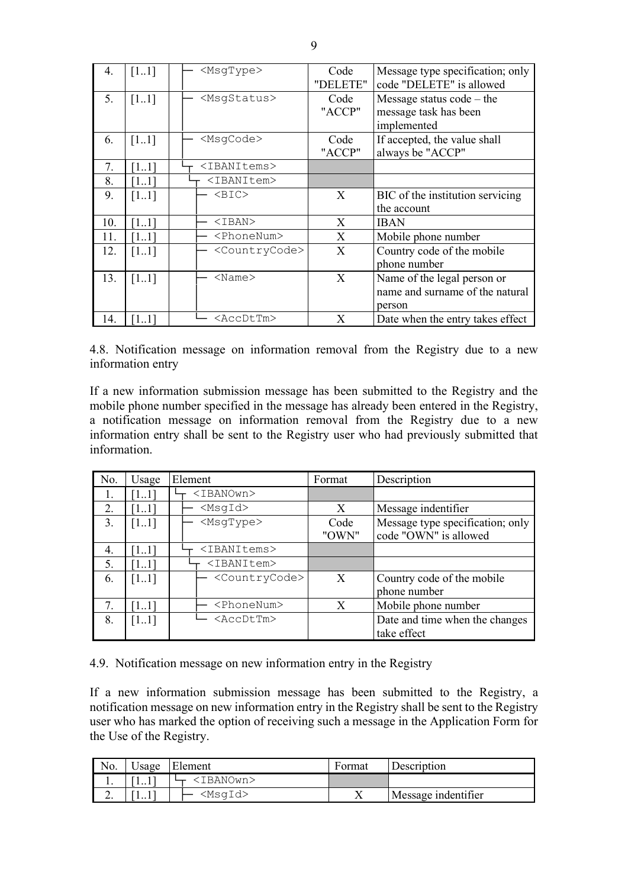| 4.  | [11]               | <msgtype></msgtype>         | Code<br>"DELETE" | Message type specification; only<br>code "DELETE" is allowed             |
|-----|--------------------|-----------------------------|------------------|--------------------------------------------------------------------------|
| 5.  | [11]               | <msgstatus></msgstatus>     | Code<br>"ACCP"   | Message status $code - the$<br>message task has been<br>implemented      |
| 6.  | [11]               | <msqcode></msqcode>         | Code<br>"ACCP"   | If accepted, the value shall<br>always be "ACCP"                         |
| 7.  | 11                 | <ibanitems></ibanitems>     |                  |                                                                          |
| 8.  | 1. L               | <ibanitem></ibanitem>       |                  |                                                                          |
| 9.  | [11]               | $<$ BIC $>$                 | X                | BIC of the institution servicing<br>the account                          |
| 10. | [11]               | $IBAN$                      | X                | <b>IBAN</b>                                                              |
| 11. | 11                 | <phonenum></phonenum>       | X                | Mobile phone number                                                      |
| 12. | $\lceil 11 \rceil$ | <countrycode></countrycode> | X                | Country code of the mobile<br>phone number                               |
| 13. | [11]               | $<$ Name $>$                | X                | Name of the legal person or<br>name and surname of the natural<br>person |
| 14. | 11                 | <accdttm></accdttm>         | X                | Date when the entry takes effect                                         |

<span id="page-8-0"></span>4.8. Notification message on information removal from the Registry due to a new information entry

If a new information submission message has been submitted to the Registry and the mobile phone number specified in the message has already been entered in the Registry, a notification message on information removal from the Registry due to a new information entry shall be sent to the Registry user who had previously submitted that information.

| No. | Usage | Element                     | Format | Description                      |
|-----|-------|-----------------------------|--------|----------------------------------|
| Ι.  |       | <ibanown></ibanown>         |        |                                  |
| 2.  | [11]  | $<$ MsqId $>$               | X      | Message indentifier              |
| 3.  | [11]  | <msqtype></msqtype>         | Code   | Message type specification; only |
|     |       |                             | "OWN"  | code "OWN" is allowed            |
| 4.  | [11]  | <ibanitems></ibanitems>     |        |                                  |
| 5.  | [11]  | <ibanitem></ibanitem>       |        |                                  |
| 6.  | [11]  | <countrycode></countrycode> | X      | Country code of the mobile       |
|     |       |                             |        | phone number                     |
| 7.  | [11]  | <phonenum></phonenum>       | X      | Mobile phone number              |
| 8.  | [11]  | <accdttm></accdttm>         |        | Date and time when the changes   |
|     |       |                             |        | take effect                      |

<span id="page-8-1"></span>4.9. Notification message on new information entry in the Registry

If a new information submission message has been submitted to the Registry, a notification message on new information entry in the Registry shall be sent to the Registry user who has marked the option of receiving such a message in the Application Form for the Use of the Registry.

| No. | Usage | Element             | Format | Description         |
|-----|-------|---------------------|--------|---------------------|
| . . | 11    | <ibanown></ibanown> |        |                     |
| ∼.  | 11    | <msqid></msqid>     |        | Message indentifier |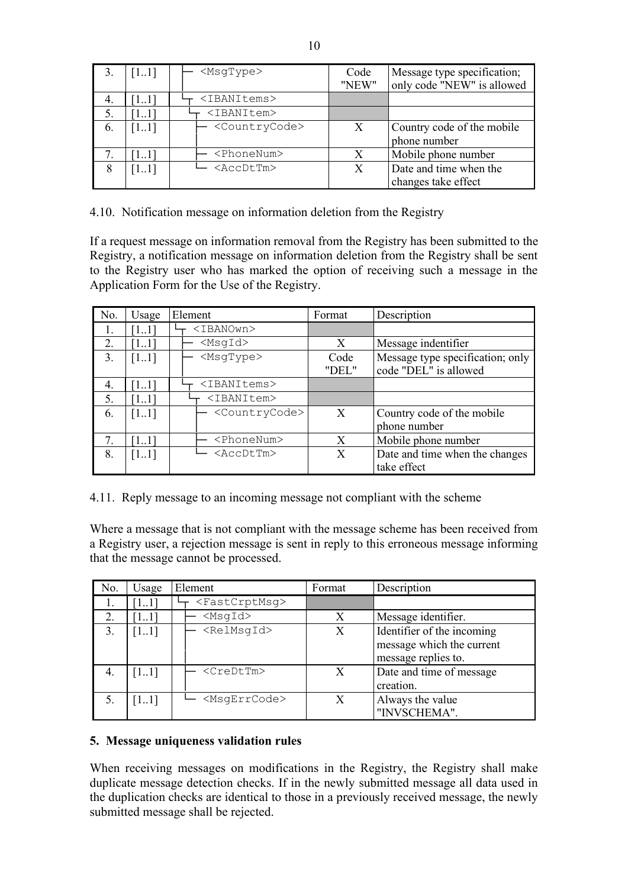|    | 11   | $<$ MsqType $>$             | Code<br>"NEW" | Message type specification;<br>only code "NEW" is allowed |
|----|------|-----------------------------|---------------|-----------------------------------------------------------|
| 4. | 11   | <ibanitems></ibanitems>     |               |                                                           |
| 5. |      | <ibanitem></ibanitem>       |               |                                                           |
| 6. | 11   | <countrycode></countrycode> |               | Country code of the mobile                                |
|    |      |                             |               | phone number                                              |
|    |      | <phonenum></phonenum>       |               | Mobile phone number                                       |
| 8  | [11] | <accdttm></accdttm>         |               | Date and time when the                                    |
|    |      |                             |               | changes take effect                                       |

<span id="page-9-0"></span>4.10. Notification message on information deletion from the Registry

If a request message on information removal from the Registry has been submitted to the Registry, a notification message on information deletion from the Registry shall be sent to the Registry user who has marked the option of receiving such a message in the Application Form for the Use of the Registry.

| No. | Usage              | Element                     | Format | Description                      |
|-----|--------------------|-----------------------------|--------|----------------------------------|
|     | [11]               | <ibanown></ibanown>         |        |                                  |
| 2.  | [11]               | $<$ MsqId $>$               | X      | Message indentifier              |
| 3.  | $\lceil 11 \rceil$ | <msqtype></msqtype>         | Code   | Message type specification; only |
|     |                    |                             | "DEL"  | code "DEL" is allowed            |
| 4.  | $\lceil 11 \rceil$ | <ibanitems></ibanitems>     |        |                                  |
| 5.  | [11]               | <ibanitem></ibanitem>       |        |                                  |
| 6.  | [11]               | <countrycode></countrycode> | X      | Country code of the mobile       |
|     |                    |                             |        | phone number                     |
| 7.  | [11]               | <phonenum></phonenum>       | X      | Mobile phone number              |
| 8.  | $\left[11\right]$  | <accdttm></accdttm>         | X      | Date and time when the changes   |
|     |                    |                             |        | take effect                      |

<span id="page-9-1"></span>4.11. Reply message to an incoming message not compliant with the scheme

Where a message that is not compliant with the message scheme has been received from a Registry user, a rejection message is sent in reply to this erroneous message informing that the message cannot be processed.

| No. | Usage | Element                     | Format | Description                                                                    |
|-----|-------|-----------------------------|--------|--------------------------------------------------------------------------------|
| 1.  |       | <fastcrptmsg></fastcrptmsg> |        |                                                                                |
| 2.  |       | $<$ MsqId $>$               | X      | Message identifier.                                                            |
| 3.  | [11]  | <relmsgid></relmsgid>       | X      | Identifier of the incoming<br>message which the current<br>message replies to. |
| 4.  | [11]  | <credttm></credttm>         | X      | Date and time of message<br>creation.                                          |
| .5  | [11]  | <msqerrcode></msqerrcode>   | X      | Always the value<br>"INVSCHEMA".                                               |

## <span id="page-9-2"></span>**5. Message uniqueness validation rules**

When receiving messages on modifications in the Registry, the Registry shall make duplicate message detection checks. If in the newly submitted message all data used in the duplication checks are identical to those in a previously received message, the newly submitted message shall be rejected.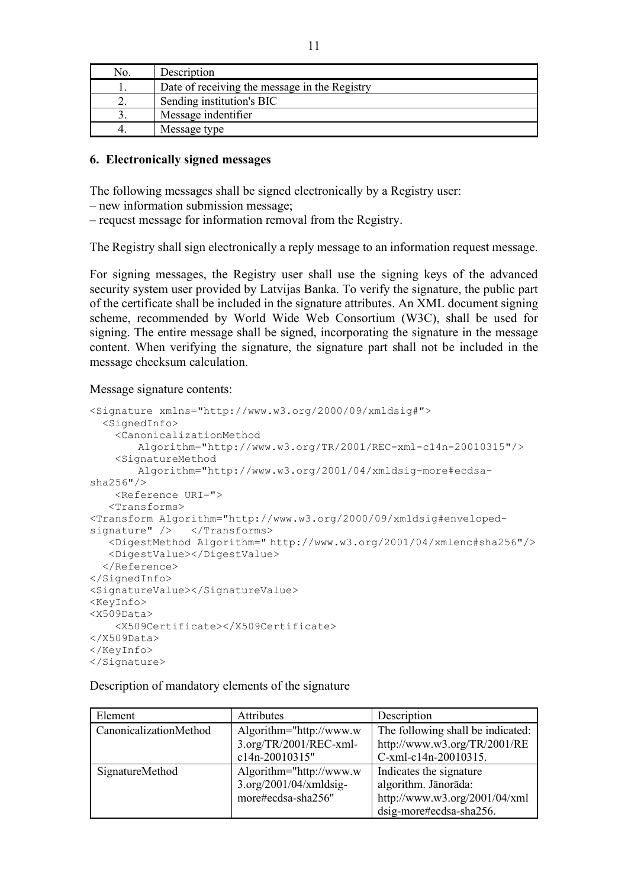| No. | Description                                   |
|-----|-----------------------------------------------|
|     | Date of receiving the message in the Registry |
|     | Sending institution's BIC                     |
|     | Message indentifier                           |
|     | Message type                                  |

#### <span id="page-10-0"></span>**6. Electronically signed messages**

The following messages shall be signed electronically by a Registry user:

– new information submission message;

– request message for information removal from the Registry.

The Registry shall sign electronically a reply message to an information request message.

For signing messages, the Registry user shall use the signing keys of the advanced security system user provided by Latvijas Banka. To verify the signature, the public part of the certificate shall be included in the signature attributes. An XML document signing scheme, recommended by World Wide Web Consortium (W3C), shall be used for signing. The entire message shall be signed, incorporating the signature in the message content. When verifying the signature, the signature part shall not be included in the message checksum calculation.

Message signature contents:

```
<Signature xmlns="http://www.w3.org/2000/09/xmldsig#"> 
   <SignedInfo> 
     <CanonicalizationMethod
        Algorithm="http://www.w3.org/TR/2001/REC-xml-c14n-20010315"/> 
     <SignatureMethod
       Algorithm="http://www.w3.org/2001/04/xmldsig-more#ecdsa-
sha256"/> 
     <Reference URI="> 
    <Transforms> 
<Transform Algorithm="http://www.w3.org/2000/09/xmldsig#enveloped-
signature" /> </Transforms>
    <DigestMethod Algorithm=" http://www.w3.org/2001/04/xmlenc#sha256"/> 
    <DigestValue></DigestValue> 
   </Reference> 
</SignedInfo> 
<SignatureValue></SignatureValue> 
<KeyInfo> 
<X509Data>
     <X509Certificate></X509Certificate>
\langleX509Data>
</KeyInfo> 
</Signature>
```
Description of mandatory elements of the signature

| Element                | Attributes                                                                 | Description                                                                                                 |
|------------------------|----------------------------------------------------------------------------|-------------------------------------------------------------------------------------------------------------|
| CanonicalizationMethod | Algorithm="http://www.w<br>$3.$ org/TR/2001/REC-xml-<br>c14n-20010315"     | The following shall be indicated:<br>http://www.w3.org/TR/2001/RE<br>C-xml-c14n-20010315.                   |
| SignatureMethod        | Algorithm="http://www.w<br>$3.$ org/2001/04/xmldsig-<br>more#ecdsa-sha256" | Indicates the signature<br>algorithm. Jānorāda:<br>http://www.w3.org/2001/04/xml<br>dsig-more#ecdsa-sha256. |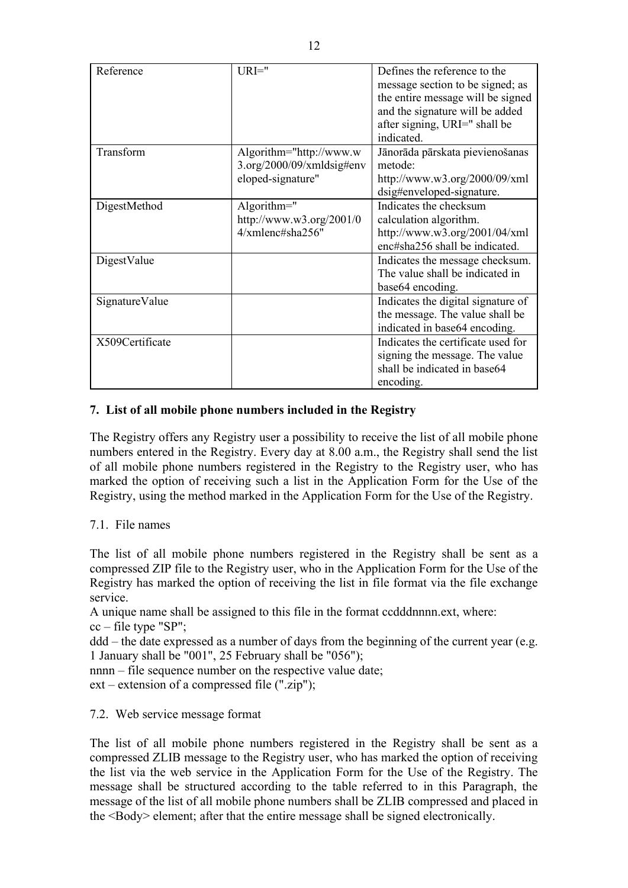| Reference       | $URI="$                   | Defines the reference to the       |
|-----------------|---------------------------|------------------------------------|
|                 |                           | message section to be signed; as   |
|                 |                           | the entire message will be signed  |
|                 |                           | and the signature will be added    |
|                 |                           | after signing, URI=" shall be      |
|                 |                           | indicated.                         |
| Transform       | Algorithm="http://www.w   | Jānorāda pārskata pievienošanas    |
|                 | 3.org/2000/09/xmldsig#env | metode:                            |
|                 | eloped-signature"         | http://www.w3.org/2000/09/xml      |
|                 |                           | dsig#enveloped-signature.          |
| DigestMethod    | Algorithm= $"$            | Indicates the checksum             |
|                 | http://www.w3.org/2001/0  | calculation algorithm.             |
|                 | 4/xmlenc#sha256"          | http://www.w3.org/2001/04/xml      |
|                 |                           | enc#sha256 shall be indicated.     |
| DigestValue     |                           | Indicates the message checksum.    |
|                 |                           | The value shall be indicated in    |
|                 |                           | base64 encoding.                   |
| SignatureValue  |                           | Indicates the digital signature of |
|                 |                           | the message. The value shall be    |
|                 |                           | indicated in base64 encoding.      |
| X509Certificate |                           | Indicates the certificate used for |
|                 |                           | signing the message. The value     |
|                 |                           | shall be indicated in base64       |
|                 |                           | encoding.                          |

## <span id="page-11-0"></span>**7. List of all mobile phone numbers included in the Registry**

The Registry offers any Registry user a possibility to receive the list of all mobile phone numbers entered in the Registry. Every day at 8.00 a.m., the Registry shall send the list of all mobile phone numbers registered in the Registry to the Registry user, who has marked the option of receiving such a list in the Application Form for the Use of the Registry, using the method marked in the Application Form for the Use of the Registry.

## <span id="page-11-1"></span>7.1. File names

The list of all mobile phone numbers registered in the Registry shall be sent as a compressed ZIP file to the Registry user, who in the Application Form for the Use of the Registry has marked the option of receiving the list in file format via the file exchange service.

A unique name shall be assigned to this file in the format ccdddnnnn.ext, where: cc – file type "SP";

ddd – the date expressed as a number of days from the beginning of the current year (e.g. 1 January shall be "001", 25 February shall be "056");

nnnn – file sequence number on the respective value date;

ext – extension of a compressed file (".zip");

## <span id="page-11-2"></span>7.2. Web service message format

The list of all mobile phone numbers registered in the Registry shall be sent as a compressed ZLIB message to the Registry user, who has marked the option of receiving the list via the web service in the Application Form for the Use of the Registry. The message shall be structured according to the table referred to in this Paragraph, the message of the list of all mobile phone numbers shall be ZLIB compressed and placed in the <Body> element; after that the entire message shall be signed electronically.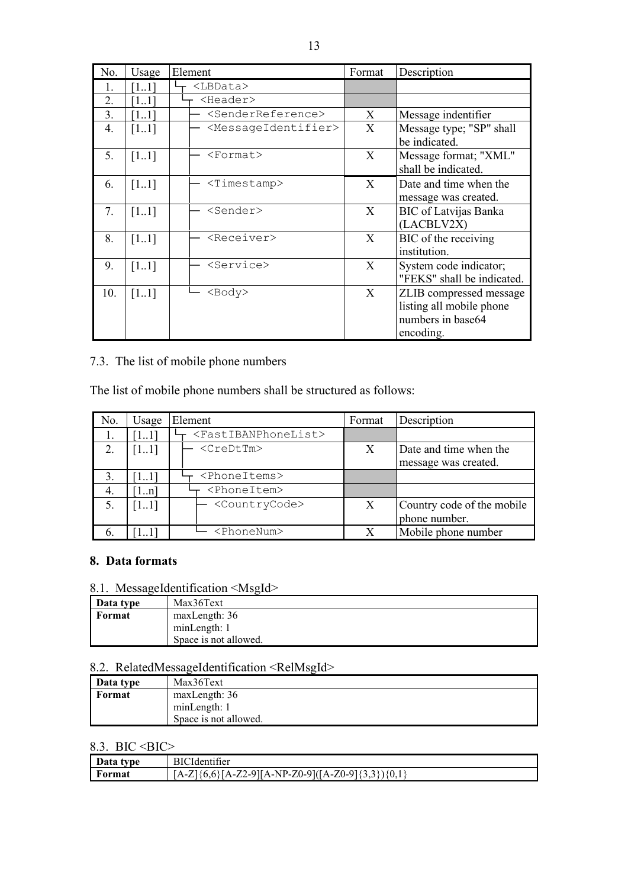| No. | Usage              | Element                                 | Format | Description                                                                           |
|-----|--------------------|-----------------------------------------|--------|---------------------------------------------------------------------------------------|
| 1.  | [11]               | <lbdata></lbdata>                       |        |                                                                                       |
| 2.  | [11]               | $<$ Header>                             |        |                                                                                       |
| 3.  | 11                 | <senderreference></senderreference>     | X      | Message indentifier                                                                   |
| 4.  | [11]               | <messageidentifier></messageidentifier> | X      | Message type; "SP" shall<br>be indicated.                                             |
| 5.  | $\lceil 11 \rceil$ | $<$ Format $>$                          | X      | Message format; "XML"<br>shall be indicated.                                          |
| 6.  | [11]               | <timestamp></timestamp>                 | X      | Date and time when the<br>message was created.                                        |
| 7.  | [11]               | <sender></sender>                       | X      | <b>BIC</b> of Latvijas Banka<br>(LACBLV2X)                                            |
| 8.  | [11]               | <receiver></receiver>                   | X      | BIC of the receiving<br>institution.                                                  |
| 9.  | [11]               | <service></service>                     | X      | System code indicator;<br>"FEKS" shall be indicated.                                  |
| 10. | [11]               | $<$ Body $>$                            | X      | ZLIB compressed message<br>listing all mobile phone<br>numbers in base64<br>encoding. |

## <span id="page-12-0"></span>7.3. The list of mobile phone numbers

The list of mobile phone numbers shall be structured as follows:

| No. | Usage | Element                                 | Format | Description                                    |
|-----|-------|-----------------------------------------|--------|------------------------------------------------|
| 1.  | [11]  | <fastibanphonelist></fastibanphonelist> |        |                                                |
| 2.  | [11]  | <credttm></credttm>                     | X      | Date and time when the<br>message was created. |
| 3.  | [11]  | <phoneitems></phoneitems>               |        |                                                |
| 4.  | 1.n   | <phoneitem></phoneitem>                 |        |                                                |
|     | [11]  | <countrycode></countrycode>             | X      | Country code of the mobile<br>phone number.    |
|     |       | <phonenum></phonenum>                   |        | Mobile phone number                            |

## <span id="page-12-1"></span>**8. Data formats**

# <span id="page-12-2"></span>8.1. MessageIdentification <MsgId>

| Data type | Max36Text             |
|-----------|-----------------------|
| Format    | maxLength: 36         |
|           | minLength: 1          |
|           | Space is not allowed. |

## <span id="page-12-3"></span>8.2. RelatedMessageIdentification <RelMsgId>

| Data type | Max36Text             |
|-----------|-----------------------|
| Format    | maxLength: 36         |
|           | minLength: 1          |
|           | Space is not allowed. |

## <span id="page-12-4"></span>8.3. BIC < BIC>

| Data type | <b>BICI</b><br>`ldentifier                             |
|-----------|--------------------------------------------------------|
| Format    | \{6,6}[A-Z2-9][A-NP-Z0-9]([A-Z0-9]{3,3}){0,1}<br>[A-Z] |